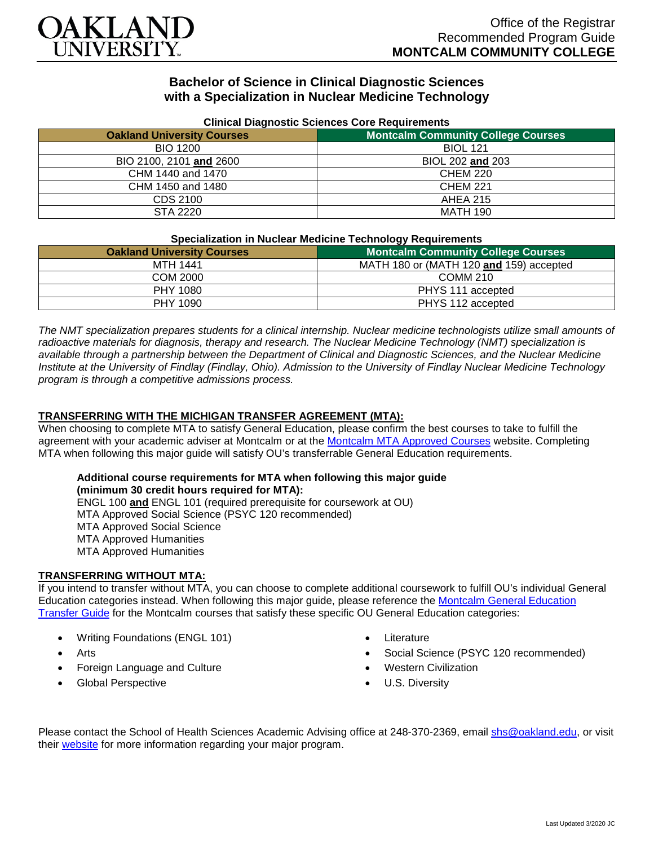

# **Bachelor of Science in Clinical Diagnostic Sciences with a Specialization in Nuclear Medicine Technology**

| Clinical Diagnostic Sciences Core Requirements |                                           |
|------------------------------------------------|-------------------------------------------|
| <b>Oakland University Courses</b>              | <b>Montcalm Community College Courses</b> |
| <b>BIO 1200</b>                                | <b>BIOL 121</b>                           |
| BIO 2100, 2101 and 2600                        | BIOL 202 and 203                          |
| CHM 1440 and 1470                              | <b>CHEM 220</b>                           |
| CHM 1450 and 1480                              | <b>CHEM 221</b>                           |
| CDS 2100                                       | <b>AHEA 215</b>                           |
| STA 2220                                       | <b>MATH 190</b>                           |

### **Clinical Diagnostic Sciences Core Requirements**

#### **Specialization in Nuclear Medicine Technology Requirements**

| <u>opoolalization in riaoloar modiollio roomiology roquiromonto</u> |                                           |
|---------------------------------------------------------------------|-------------------------------------------|
| <b>Oakland University Courses</b>                                   | <b>Montcalm Community College Courses</b> |
| <b>MTH 1441</b>                                                     | MATH 180 or (MATH 120 and 159) accepted   |
| COM 2000                                                            | <b>COMM 210</b>                           |
| PHY 1080                                                            | PHYS 111 accepted                         |
| PHY 1090                                                            | PHYS 112 accepted                         |

*The NMT specialization prepares students for a clinical internship. Nuclear medicine technologists utilize small amounts of radioactive materials for diagnosis, therapy and research. The Nuclear Medicine Technology (NMT) specialization is available through a partnership between the Department of Clinical and Diagnostic Sciences, and the Nuclear Medicine Institute at the University of Findlay (Findlay, Ohio). Admission to the University of Findlay Nuclear Medicine Technology program is through a competitive admissions process.*

### **TRANSFERRING WITH THE MICHIGAN TRANSFER AGREEMENT (MTA):**

When choosing to complete MTA to satisfy General Education, please confirm the best courses to take to fulfill the agreement with your academic adviser at Montcalm or at the [Montcalm MTA Approved Courses](https://www.montcalm.edu/counseling/transfer/) website. Completing MTA when following this major guide will satisfy OU's transferrable General Education requirements.

#### **Additional course requirements for MTA when following this major guide (minimum 30 credit hours required for MTA):**

ENGL 100 **and** ENGL 101 (required prerequisite for coursework at OU) MTA Approved Social Science (PSYC 120 recommended) MTA Approved Social Science MTA Approved Humanities MTA Approved Humanities

### **TRANSFERRING WITHOUT MTA:**

If you intend to transfer without MTA, you can choose to complete additional coursework to fulfill OU's individual General Education categories instead. When following this major guide, please reference the [Montcalm General Education](https://www.oakland.edu/Assets/Oakland/program-guides/montcalm-community-college/university-general-education-requirements/Montcalm%20Gen%20Ed.pdf)  [Transfer Guide](https://www.oakland.edu/Assets/Oakland/program-guides/montcalm-community-college/university-general-education-requirements/Montcalm%20Gen%20Ed.pdf) for the Montcalm courses that satisfy these specific OU General Education categories:

- Writing Foundations (ENGL 101)
- Arts
- Foreign Language and Culture
- Global Perspective
- **Literature**
- Social Science (PSYC 120 recommended)
- Western Civilization
- U.S. Diversity

Please contact the School of Health Sciences Academic Advising office at 248-370-2369, email [shs@oakland.edu,](mailto:shs@oakland.edu) or visit their [website](http://www.oakland.edu/shs/advising) for more information regarding your major program.